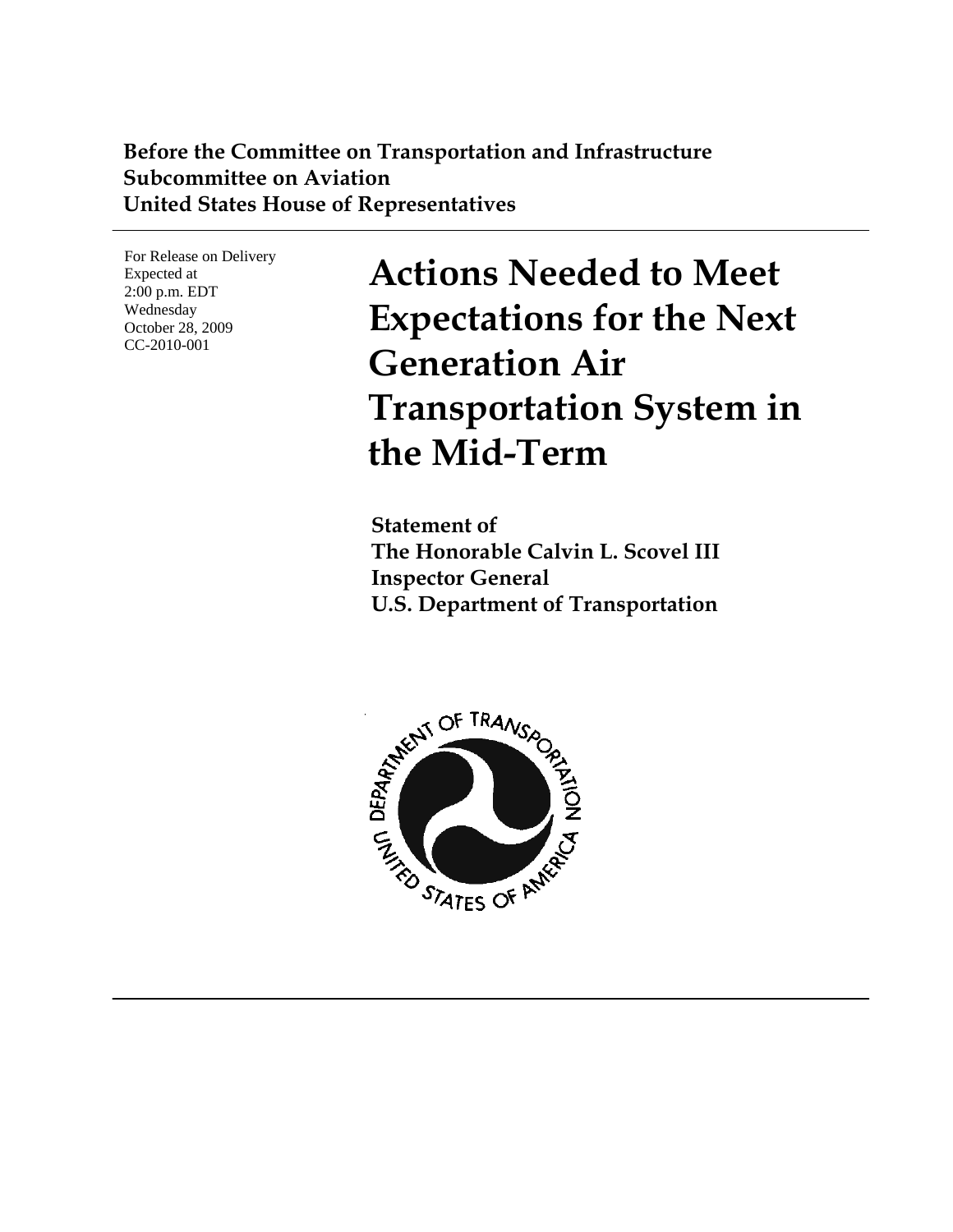#### **Before the Committee on Transportation and Infrastructure Subcommittee on Aviation United States House of Representatives**

For Release on Delivery Expected at 2:00 p.m. EDT Wednesday October 28, 2009 CC-2010-001

**Actions Needed to Meet Expectations for the Next Generation Air Transportation System in the Mid-Term**

**Statement of The Honorable Calvin L. Scovel III Inspector General U.S. Department of Transportation** 

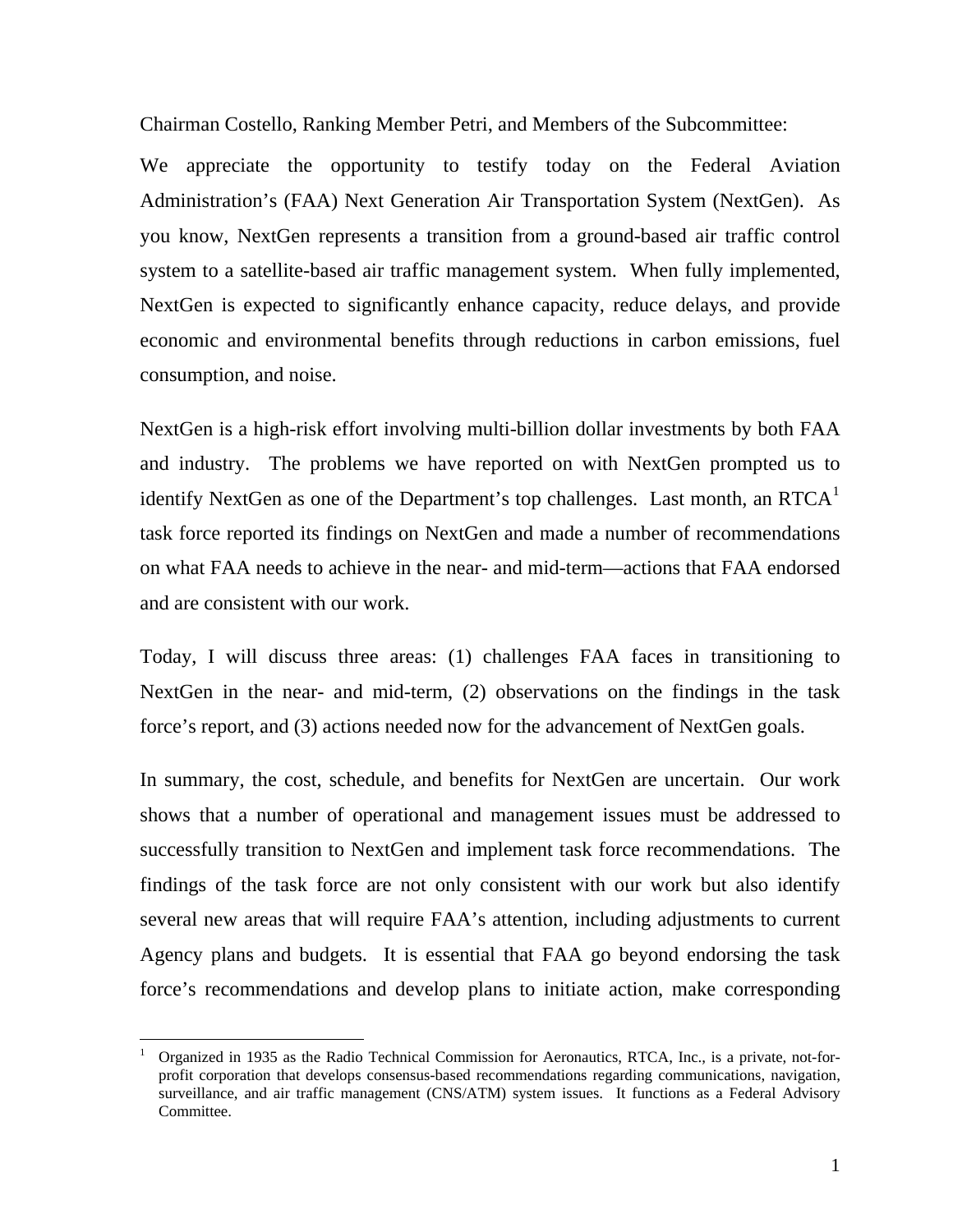Chairman Costello, Ranking Member Petri, and Members of the Subcommittee:

We appreciate the opportunity to testify today on the Federal Aviation Administration's (FAA) Next Generation Air Transportation System (NextGen). As you know, NextGen represents a transition from a ground-based air traffic control system to a satellite-based air traffic management system. When fully implemented, NextGen is expected to significantly enhance capacity, reduce delays, and provide economic and environmental benefits through reductions in carbon emissions, fuel consumption, and noise.

NextGen is a high-risk effort involving multi-billion dollar investments by both FAA and industry. The problems we have reported on with NextGen prompted us to identify NextGen as one of the Department's top challenges. Last month, an  $RTCA<sup>1</sup>$  $RTCA<sup>1</sup>$  $RTCA<sup>1</sup>$ task force reported its findings on NextGen and made a number of recommendations on what FAA needs to achieve in the near- and mid-term—actions that FAA endorsed and are consistent with our work.

Today, I will discuss three areas: (1) challenges FAA faces in transitioning to NextGen in the near- and mid-term, (2) observations on the findings in the task force's report, and (3) actions needed now for the advancement of NextGen goals.

In summary, the cost, schedule, and benefits for NextGen are uncertain. Our work shows that a number of operational and management issues must be addressed to successfully transition to NextGen and implement task force recommendations. The findings of the task force are not only consistent with our work but also identify several new areas that will require FAA's attention, including adjustments to current Agency plans and budgets. It is essential that FAA go beyond endorsing the task force's recommendations and develop plans to initiate action, make corresponding

<span id="page-1-0"></span><sup>1</sup> Organized in 1935 as the Radio Technical Commission for Aeronautics, RTCA, Inc., is a private, not-forprofit corporation that develops consensus-based recommendations regarding communications, navigation, surveillance, and air traffic management (CNS/ATM) system issues. It functions as a Federal Advisory Committee.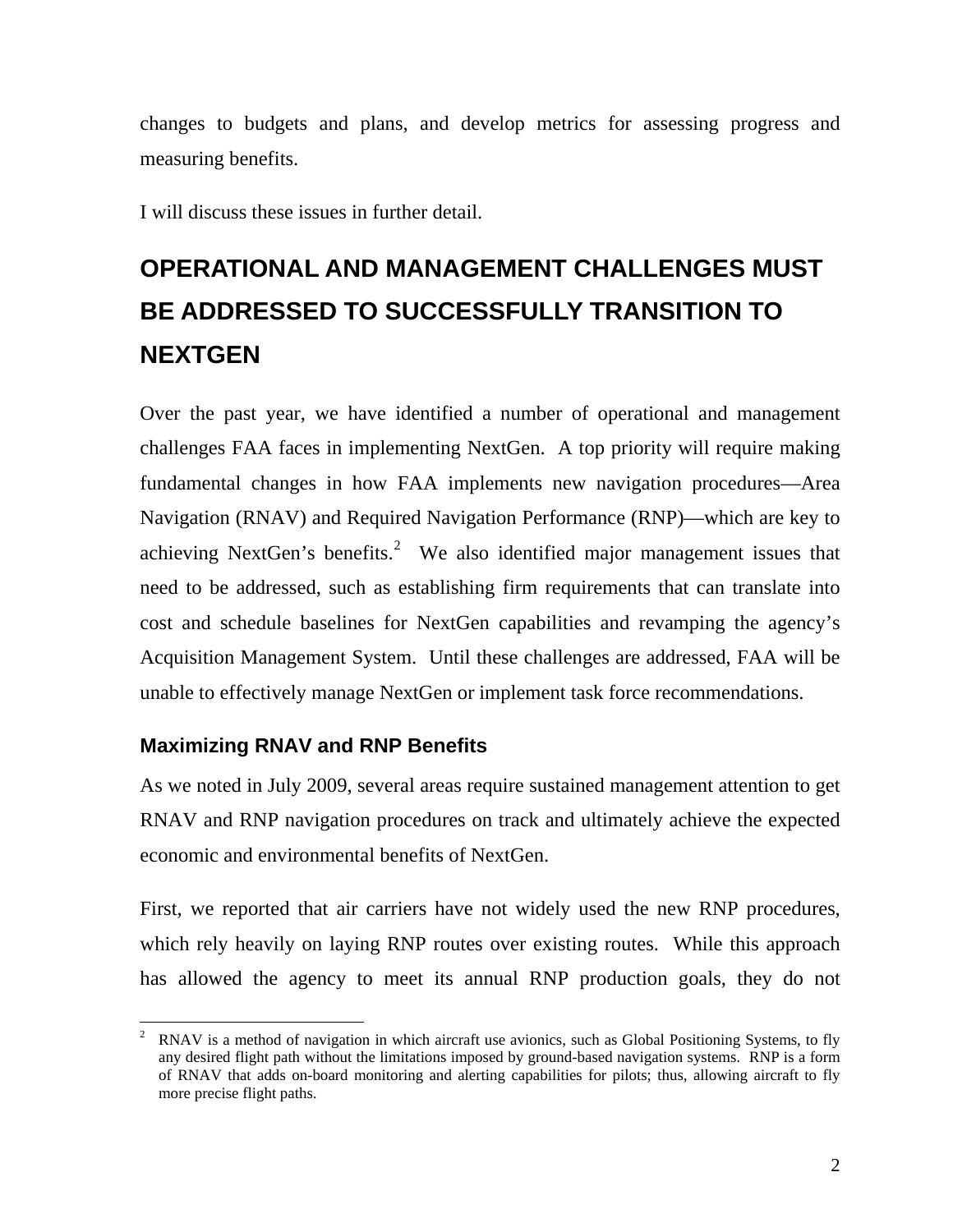changes to budgets and plans, and develop metrics for assessing progress and measuring benefits.

I will discuss these issues in further detail.

# **OPERATIONAL AND MANAGEMENT CHALLENGES MUST BE ADDRESSED TO SUCCESSFULLY TRANSITION TO NEXTGEN**

Over the past year, we have identified a number of operational and management challenges FAA faces in implementing NextGen. A top priority will require making fundamental changes in how FAA implements new navigation procedures—Area Navigation (RNAV) and Required Navigation Performance (RNP)—which are key to achieving NextGen's benefits.<sup>[2](#page-2-0)</sup> We also identified major management issues that need to be addressed, such as establishing firm requirements that can translate into cost and schedule baselines for NextGen capabilities and revamping the agency's Acquisition Management System. Until these challenges are addressed, FAA will be unable to effectively manage NextGen or implement task force recommendations.

#### **Maximizing RNAV and RNP Benefits**

As we noted in July 2009, several areas require sustained management attention to get RNAV and RNP navigation procedures on track and ultimately achieve the expected economic and environmental benefits of NextGen.

First, we reported that air carriers have not widely used the new RNP procedures, which rely heavily on laying RNP routes over existing routes. While this approach has allowed the agency to meet its annual RNP production goals, they do not

<span id="page-2-0"></span> $\overline{a}$ 2 RNAV is a method of navigation in which aircraft use avionics, such as Global Positioning Systems, to fly any desired flight path without the limitations imposed by ground-based navigation systems. RNP is a form of RNAV that adds on-board monitoring and alerting capabilities for pilots; thus, allowing aircraft to fly more precise flight paths.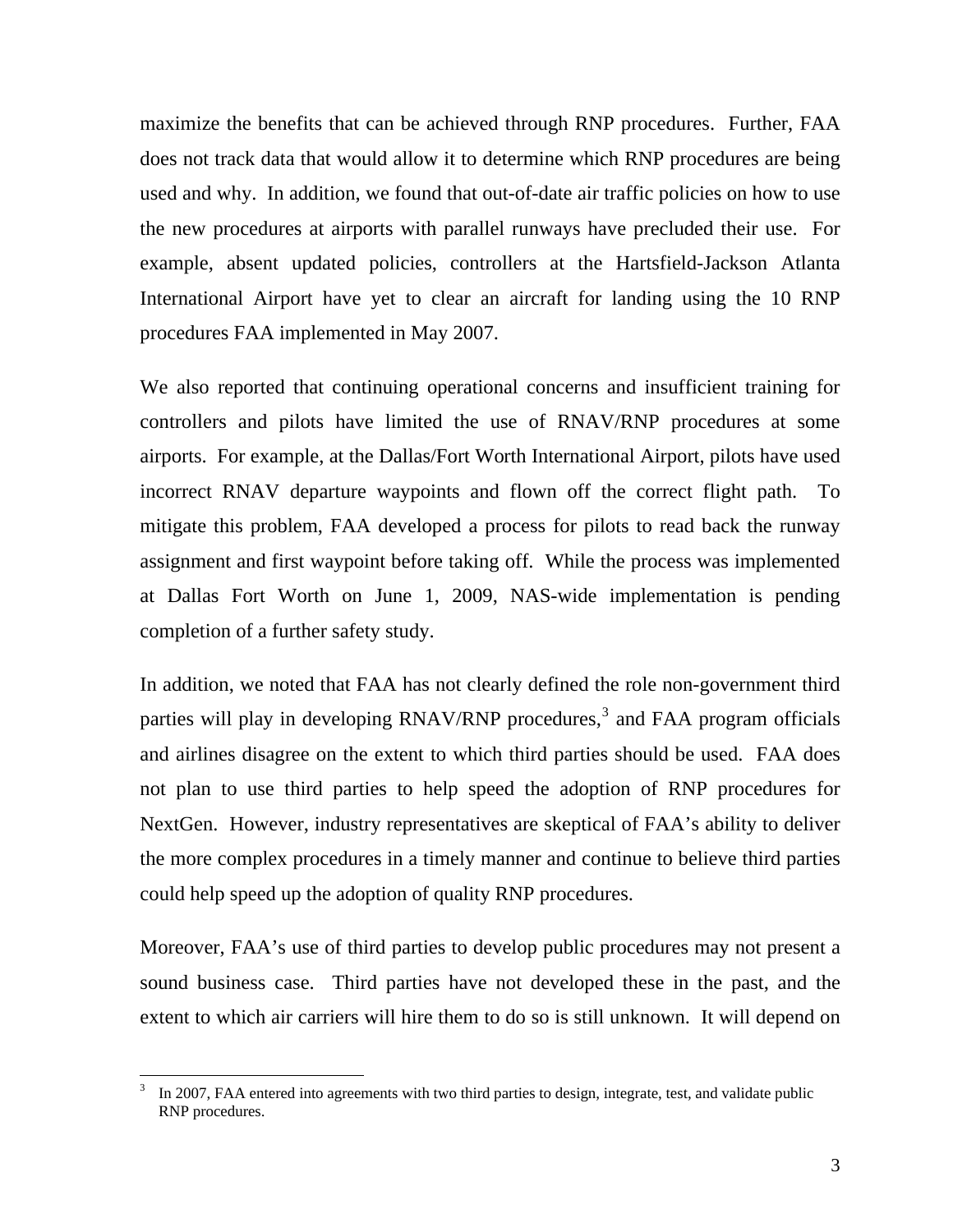maximize the benefits that can be achieved through RNP procedures. Further, FAA does not track data that would allow it to determine which RNP procedures are being used and why. In addition, we found that out-of-date air traffic policies on how to use the new procedures at airports with parallel runways have precluded their use. For example, absent updated policies, controllers at the Hartsfield-Jackson Atlanta International Airport have yet to clear an aircraft for landing using the 10 RNP procedures FAA implemented in May 2007.

We also reported that continuing operational concerns and insufficient training for controllers and pilots have limited the use of RNAV/RNP procedures at some airports. For example, at the Dallas/Fort Worth International Airport, pilots have used incorrect RNAV departure waypoints and flown off the correct flight path. To mitigate this problem, FAA developed a process for pilots to read back the runway assignment and first waypoint before taking off. While the process was implemented at Dallas Fort Worth on June 1, 2009, NAS-wide implementation is pending completion of a further safety study.

In addition, we noted that FAA has not clearly defined the role non-government third parties will play in developing RNAV/RNP procedures,<sup>[3](#page-3-0)</sup> and FAA program officials and airlines disagree on the extent to which third parties should be used. FAA does not plan to use third parties to help speed the adoption of RNP procedures for NextGen. However, industry representatives are skeptical of FAA's ability to deliver the more complex procedures in a timely manner and continue to believe third parties could help speed up the adoption of quality RNP procedures.

Moreover, FAA's use of third parties to develop public procedures may not present a sound business case. Third parties have not developed these in the past, and the extent to which air carriers will hire them to do so is still unknown. It will depend on

<span id="page-3-0"></span><sup>3</sup> In 2007, FAA entered into agreements with two third parties to design, integrate, test, and validate public RNP procedures.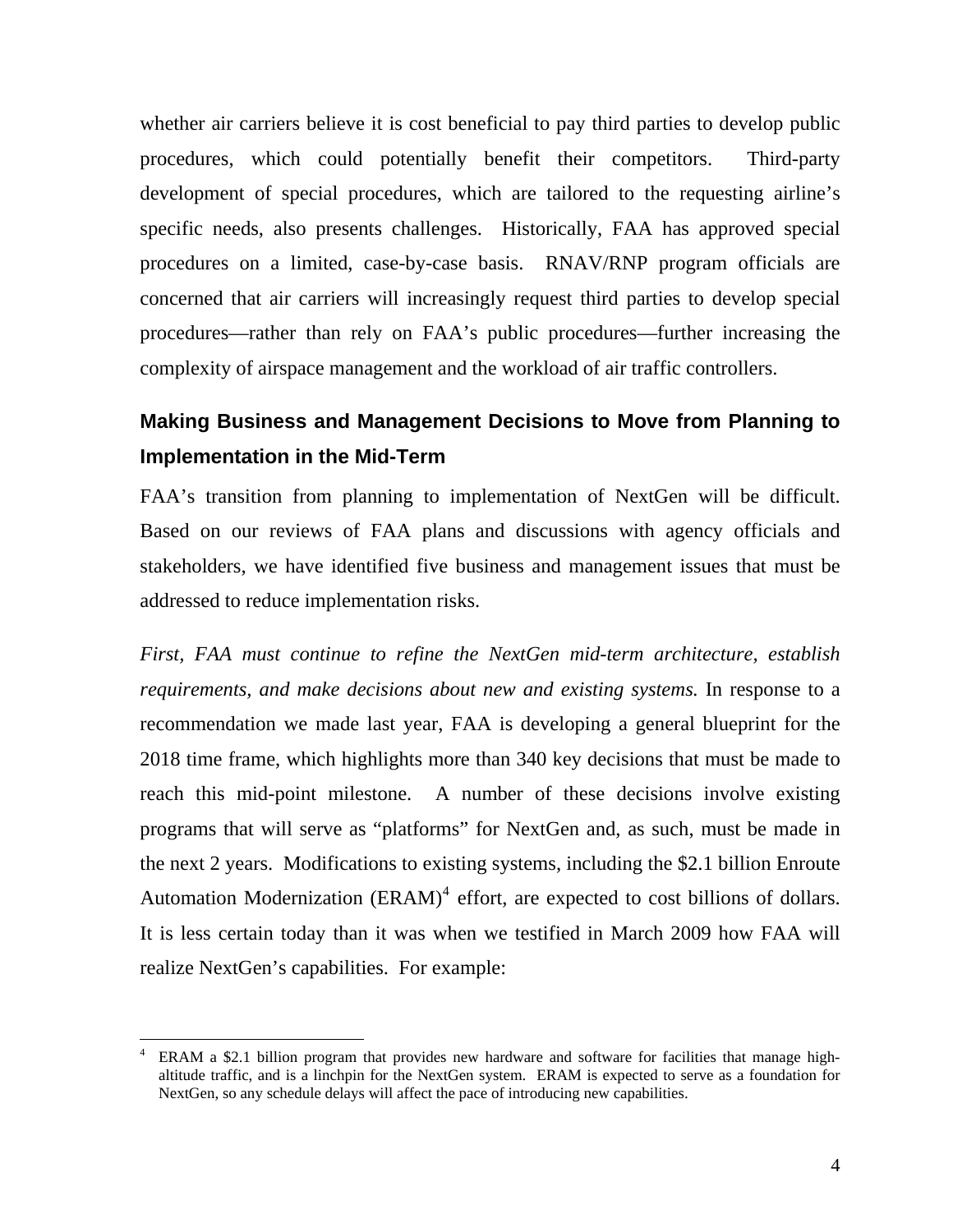whether air carriers believe it is cost beneficial to pay third parties to develop public procedures, which could potentially benefit their competitors. Third-party development of special procedures, which are tailored to the requesting airline's specific needs, also presents challenges. Historically, FAA has approved special procedures on a limited, case-by-case basis. RNAV/RNP program officials are concerned that air carriers will increasingly request third parties to develop special procedures—rather than rely on FAA's public procedures—further increasing the complexity of airspace management and the workload of air traffic controllers.

### **Making Business and Management Decisions to Move from Planning to Implementation in the Mid-Term**

FAA's transition from planning to implementation of NextGen will be difficult. Based on our reviews of FAA plans and discussions with agency officials and stakeholders, we have identified five business and management issues that must be addressed to reduce implementation risks.

*First, FAA must continue to refine the NextGen mid-term architecture, establish requirements, and make decisions about new and existing systems.* In response to a recommendation we made last year, FAA is developing a general blueprint for the 2018 time frame, which highlights more than 340 key decisions that must be made to reach this mid-point milestone. A number of these decisions involve existing programs that will serve as "platforms" for NextGen and, as such, must be made in the next 2 years. Modifications to existing systems, including the \$2.1 billion Enroute Automation Modernization  $(ERAM)^4$  $(ERAM)^4$  effort, are expected to cost billions of dollars. It is less certain today than it was when we testified in March 2009 how FAA will realize NextGen's capabilities. For example:

<span id="page-4-0"></span><sup>4</sup> ERAM a \$2.1 billion program that provides new hardware and software for facilities that manage highaltitude traffic, and is a linchpin for the NextGen system. ERAM is expected to serve as a foundation for NextGen, so any schedule delays will affect the pace of introducing new capabilities.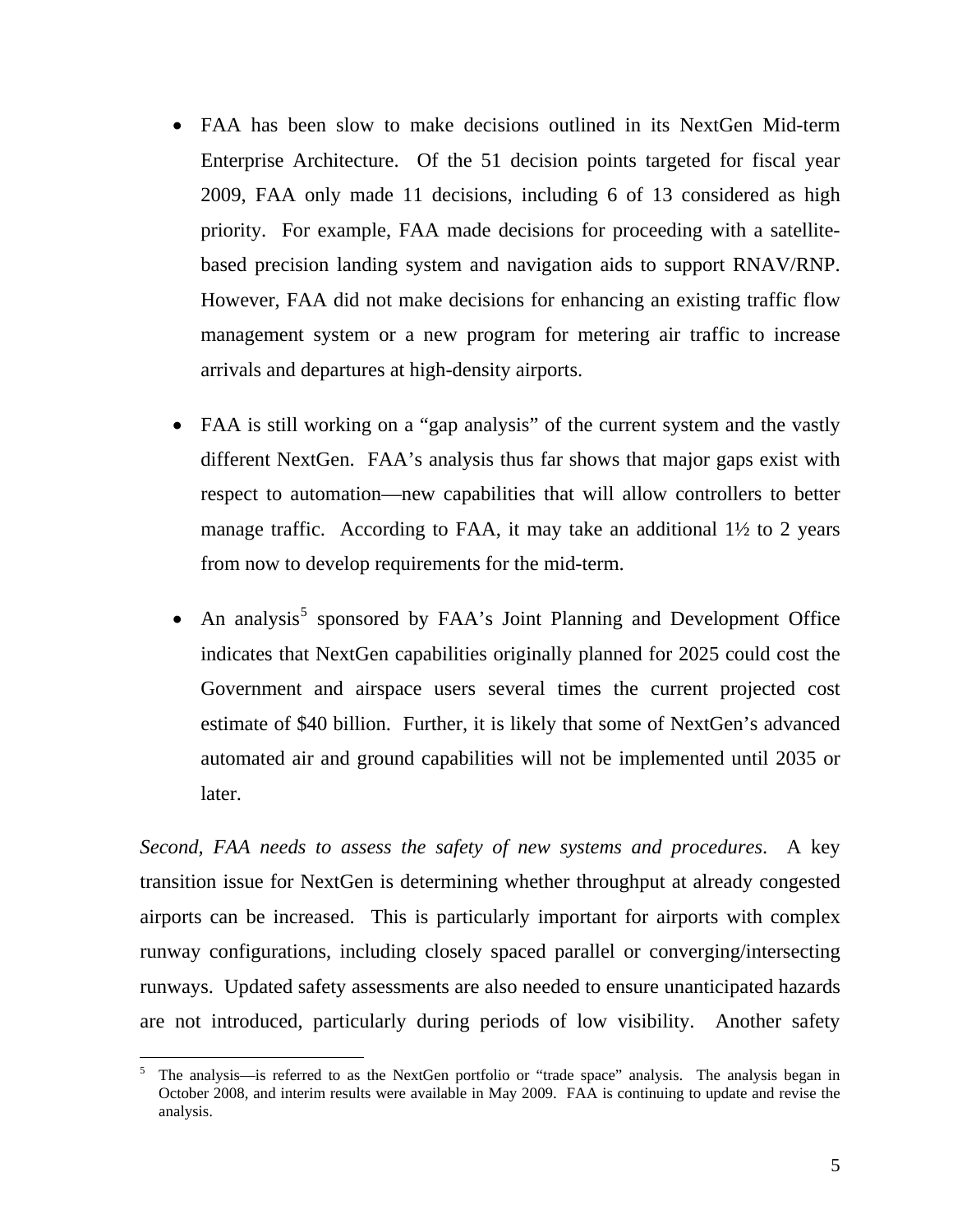- FAA has been slow to make decisions outlined in its NextGen Mid-term Enterprise Architecture. Of the 51 decision points targeted for fiscal year 2009, FAA only made 11 decisions, including 6 of 13 considered as high priority. For example, FAA made decisions for proceeding with a satellitebased precision landing system and navigation aids to support RNAV/RNP. However, FAA did not make decisions for enhancing an existing traffic flow management system or a new program for metering air traffic to increase arrivals and departures at high-density airports.
- FAA is still working on a "gap analysis" of the current system and the vastly different NextGen. FAA's analysis thus far shows that major gaps exist with respect to automation—new capabilities that will allow controllers to better manage traffic. According to FAA, it may take an additional 1<sup>1</sup>/<sub>2</sub> to 2 years from now to develop requirements for the mid-term.
- $\bullet$  An analysis<sup>[5](#page-5-0)</sup> sponsored by FAA's Joint Planning and Development Office indicates that NextGen capabilities originally planned for 2025 could cost the Government and airspace users several times the current projected cost estimate of \$40 billion. Further, it is likely that some of NextGen's advanced automated air and ground capabilities will not be implemented until 2035 or later.

*Second, FAA needs to assess the safety of new systems and procedures*. A key transition issue for NextGen is determining whether throughput at already congested airports can be increased. This is particularly important for airports with complex runway configurations, including closely spaced parallel or converging/intersecting runways. Updated safety assessments are also needed to ensure unanticipated hazards are not introduced, particularly during periods of low visibility. Another safety

<span id="page-5-0"></span> $\overline{a}$ 5 The analysis—is referred to as the NextGen portfolio or "trade space" analysis. The analysis began in October 2008, and interim results were available in May 2009. FAA is continuing to update and revise the analysis.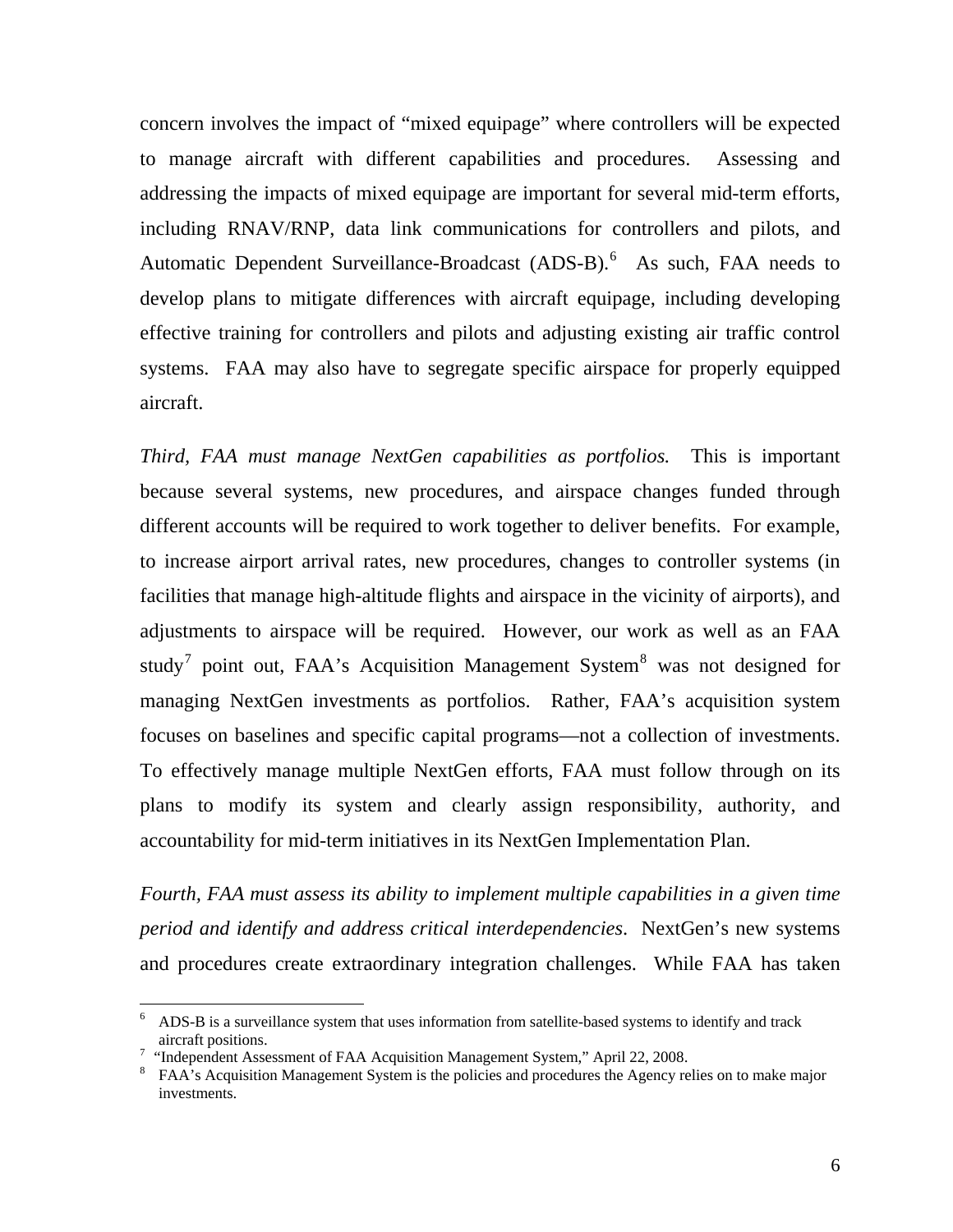concern involves the impact of "mixed equipage" where controllers will be expected to manage aircraft with different capabilities and procedures. Assessing and addressing the impacts of mixed equipage are important for several mid-term efforts, including RNAV/RNP, data link communications for controllers and pilots, and Automatic Dependent Surveillance-Broadcast (ADS-B).<sup>[6](#page-6-0)</sup> As such, FAA needs to develop plans to mitigate differences with aircraft equipage, including developing effective training for controllers and pilots and adjusting existing air traffic control systems. FAA may also have to segregate specific airspace for properly equipped aircraft.

*Third, FAA must manage NextGen capabilities as portfolios.* This is important because several systems, new procedures, and airspace changes funded through different accounts will be required to work together to deliver benefits. For example, to increase airport arrival rates, new procedures, changes to controller systems (in facilities that manage high-altitude flights and airspace in the vicinity of airports), and adjustments to airspace will be required. However, our work as well as an FAA study<sup>[7](#page-6-1)</sup> point out, FAA's Acquisition Management System<sup>[8](#page-6-2)</sup> was not designed for managing NextGen investments as portfolios. Rather, FAA's acquisition system focuses on baselines and specific capital programs—not a collection of investments. To effectively manage multiple NextGen efforts, FAA must follow through on its plans to modify its system and clearly assign responsibility, authority, and accountability for mid-term initiatives in its NextGen Implementation Plan.

*Fourth, FAA must assess its ability to implement multiple capabilities in a given time period and identify and address critical interdependencies*. NextGen's new systems and procedures create extraordinary integration challenges. While FAA has taken

<span id="page-6-0"></span><sup>6</sup> ADS-B is a surveillance system that uses information from satellite-based systems to identify and track aircraft positions. 7

<span id="page-6-2"></span><span id="page-6-1"></span><sup>&</sup>lt;sup>7</sup> "Independent Assessment of FAA Acquisition Management System," April 22, 2008.

<sup>&</sup>lt;sup>8</sup> FAA's Acquisition Management System is the policies and procedures the Agency relies on to make major investments.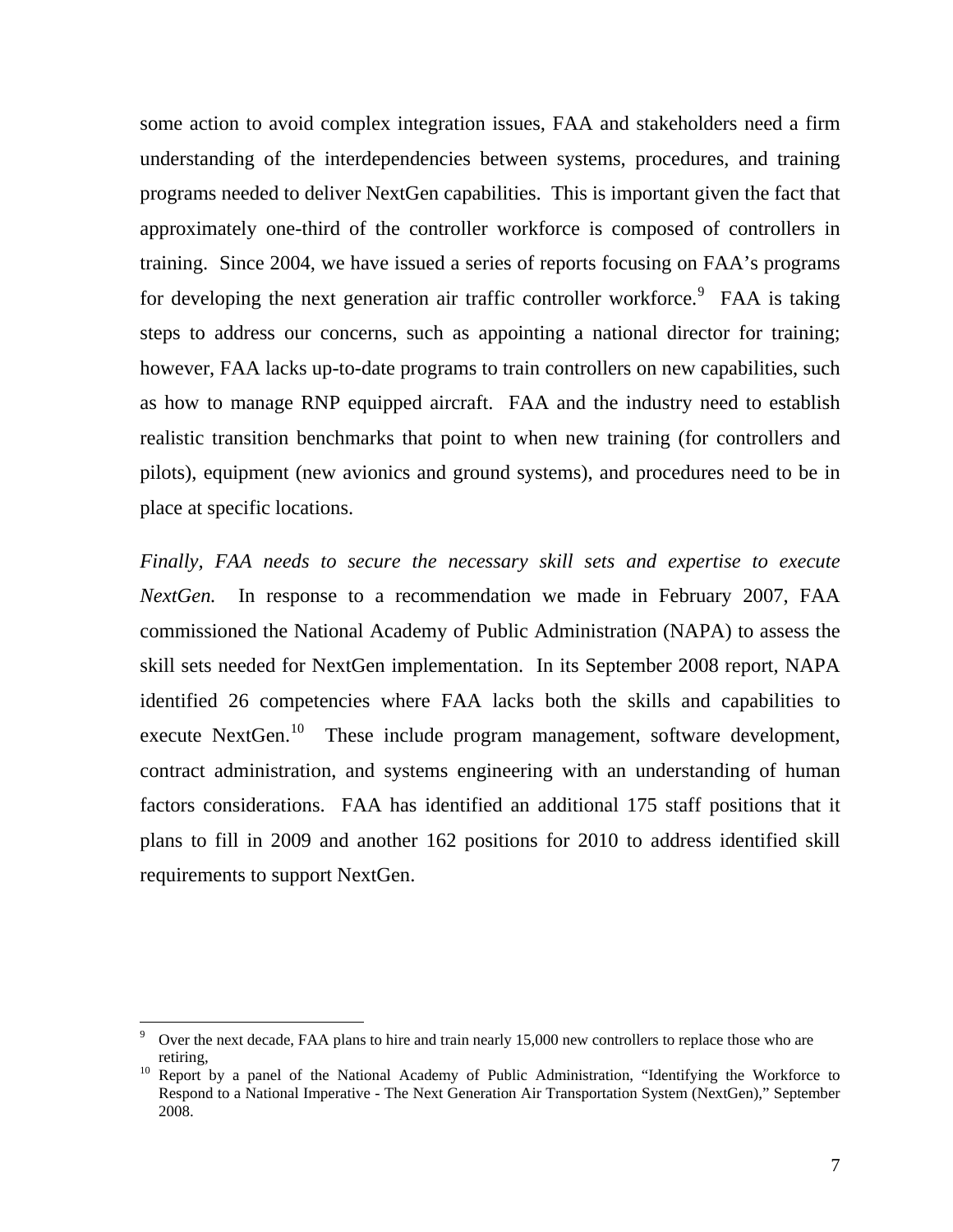some action to avoid complex integration issues, FAA and stakeholders need a firm understanding of the interdependencies between systems, procedures, and training programs needed to deliver NextGen capabilities. This is important given the fact that approximately one-third of the controller workforce is composed of controllers in training. Since 2004, we have issued a series of reports focusing on FAA's programs for developing the next generation air traffic controller workforce.<sup>[9](#page-7-0)</sup> FAA is taking steps to address our concerns, such as appointing a national director for training; however, FAA lacks up-to-date programs to train controllers on new capabilities, such as how to manage RNP equipped aircraft. FAA and the industry need to establish realistic transition benchmarks that point to when new training (for controllers and pilots), equipment (new avionics and ground systems), and procedures need to be in place at specific locations.

*Finally, FAA needs to secure the necessary skill sets and expertise to execute NextGen.* In response to a recommendation we made in February 2007, FAA commissioned the National Academy of Public Administration (NAPA) to assess the skill sets needed for NextGen implementation. In its September 2008 report, NAPA identified 26 competencies where FAA lacks both the skills and capabilities to execute NextGen.<sup>[10](#page-7-1)</sup> These include program management, software development, contract administration, and systems engineering with an understanding of human factors considerations. FAA has identified an additional 175 staff positions that it plans to fill in 2009 and another 162 positions for 2010 to address identified skill requirements to support NextGen.

<sup>9</sup> Over the next decade, FAA plans to hire and train nearly 15,000 new controllers to replace those who are

<span id="page-7-1"></span><span id="page-7-0"></span>retiring, 10 Report by a panel of the National Academy of Public Administration, "Identifying the Workforce to Respond to a National Imperative - The Next Generation Air Transportation System (NextGen)," September 2008.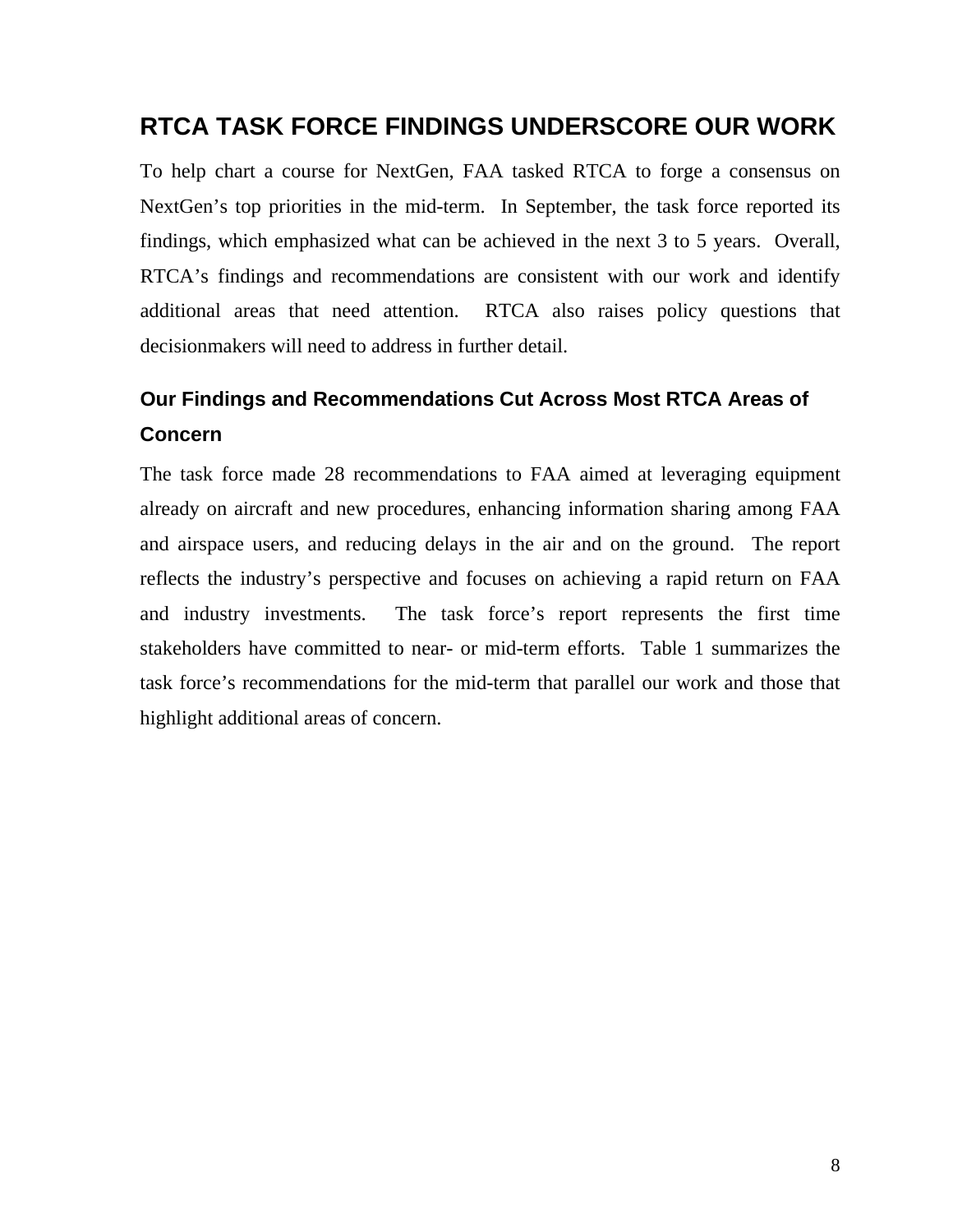## **RTCA TASK FORCE FINDINGS UNDERSCORE OUR WORK**

To help chart a course for NextGen, FAA tasked RTCA to forge a consensus on NextGen's top priorities in the mid-term. In September, the task force reported its findings, which emphasized what can be achieved in the next 3 to 5 years. Overall, RTCA's findings and recommendations are consistent with our work and identify additional areas that need attention. RTCA also raises policy questions that decisionmakers will need to address in further detail.

## **Our Findings and Recommendations Cut Across Most RTCA Areas of Concern**

The task force made 28 recommendations to FAA aimed at leveraging equipment already on aircraft and new procedures, enhancing information sharing among FAA and airspace users, and reducing delays in the air and on the ground. The report reflects the industry's perspective and focuses on achieving a rapid return on FAA and industry investments. The task force's report represents the first time stakeholders have committed to near- or mid-term efforts. Table 1 summarizes the task force's recommendations for the mid-term that parallel our work and those that highlight additional areas of concern.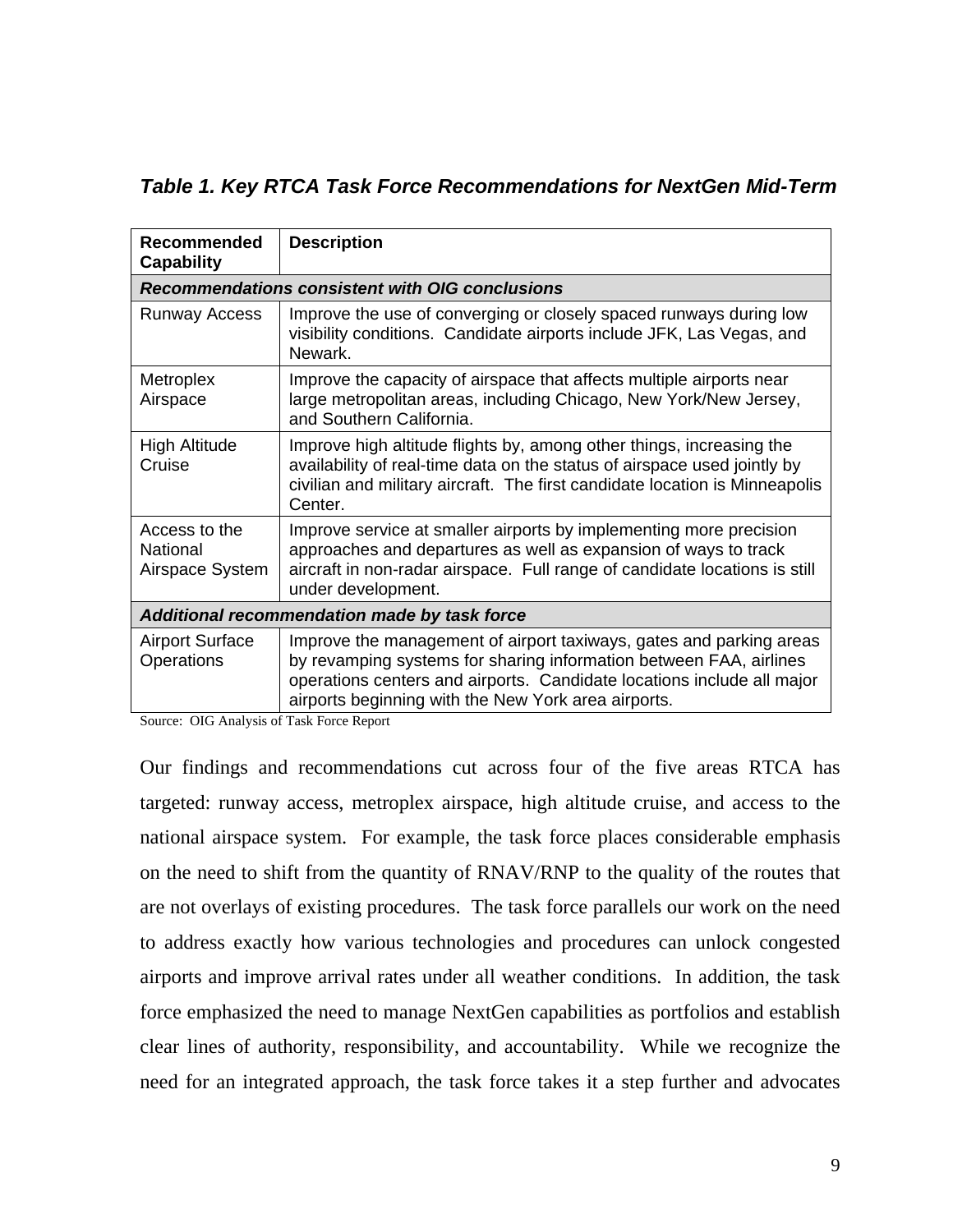*Table 1. Key RTCA Task Force Recommendations for NextGen Mid-Term* 

| <b>Recommended</b><br><b>Capability</b>                | <b>Description</b>                                                                                                                                                                                                                                                         |
|--------------------------------------------------------|----------------------------------------------------------------------------------------------------------------------------------------------------------------------------------------------------------------------------------------------------------------------------|
| <b>Recommendations consistent with OIG conclusions</b> |                                                                                                                                                                                                                                                                            |
| <b>Runway Access</b>                                   | Improve the use of converging or closely spaced runways during low<br>visibility conditions. Candidate airports include JFK, Las Vegas, and<br>Newark.                                                                                                                     |
| Metroplex<br>Airspace                                  | Improve the capacity of airspace that affects multiple airports near<br>large metropolitan areas, including Chicago, New York/New Jersey,<br>and Southern California.                                                                                                      |
| <b>High Altitude</b><br>Cruise                         | Improve high altitude flights by, among other things, increasing the<br>availability of real-time data on the status of airspace used jointly by<br>civilian and military aircraft. The first candidate location is Minneapolis<br>Center.                                 |
| Access to the<br>National<br>Airspace System           | Improve service at smaller airports by implementing more precision<br>approaches and departures as well as expansion of ways to track<br>aircraft in non-radar airspace. Full range of candidate locations is still<br>under development.                                  |
| Additional recommendation made by task force           |                                                                                                                                                                                                                                                                            |
| <b>Airport Surface</b><br>Operations                   | Improve the management of airport taxiways, gates and parking areas<br>by revamping systems for sharing information between FAA, airlines<br>operations centers and airports. Candidate locations include all major<br>airports beginning with the New York area airports. |

Source: OIG Analysis of Task Force Report

Our findings and recommendations cut across four of the five areas RTCA has targeted: runway access, metroplex airspace, high altitude cruise, and access to the national airspace system. For example, the task force places considerable emphasis on the need to shift from the quantity of RNAV/RNP to the quality of the routes that are not overlays of existing procedures. The task force parallels our work on the need to address exactly how various technologies and procedures can unlock congested airports and improve arrival rates under all weather conditions. In addition, the task force emphasized the need to manage NextGen capabilities as portfolios and establish clear lines of authority, responsibility, and accountability. While we recognize the need for an integrated approach, the task force takes it a step further and advocates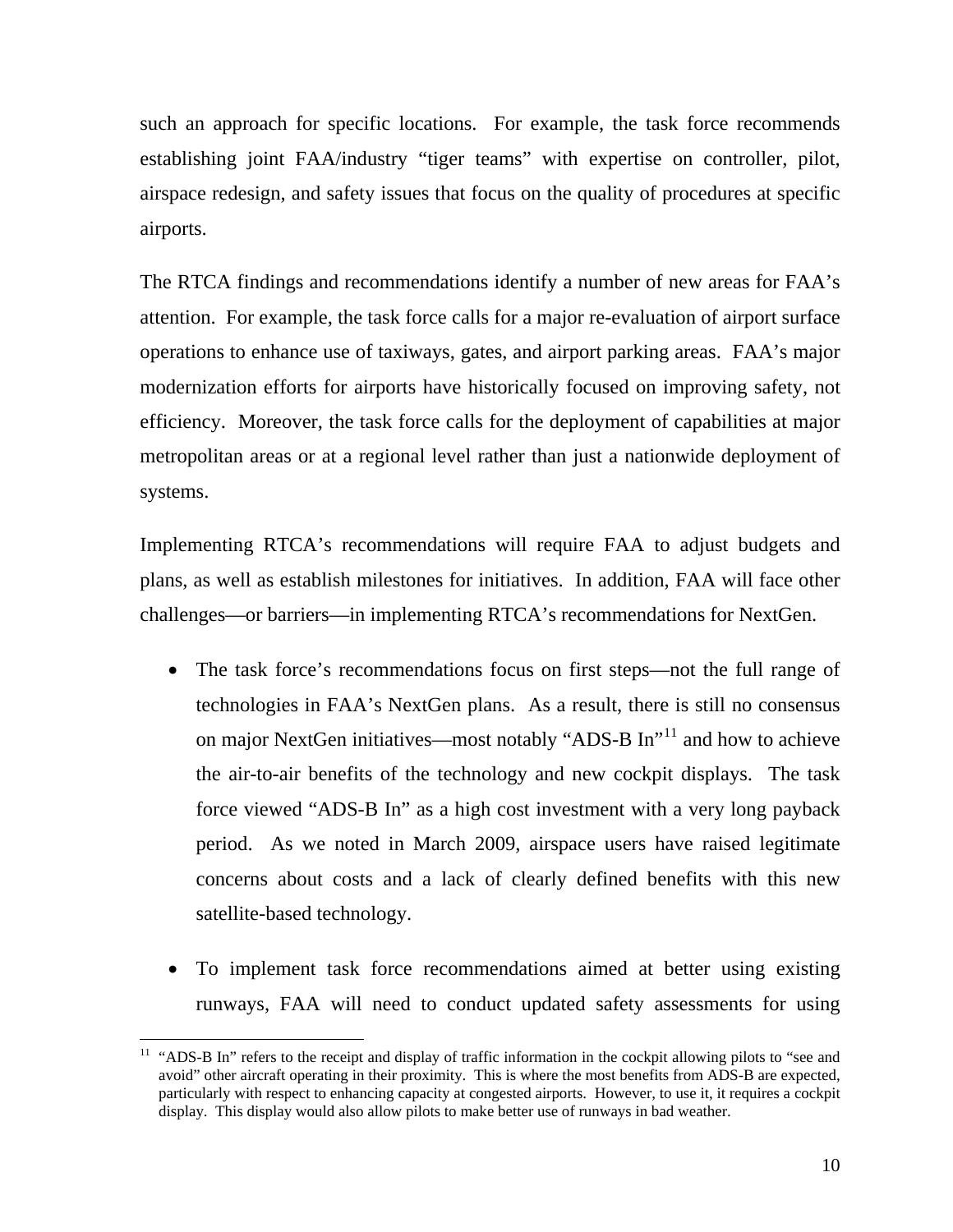such an approach for specific locations. For example, the task force recommends establishing joint FAA/industry "tiger teams" with expertise on controller, pilot, airspace redesign, and safety issues that focus on the quality of procedures at specific airports.

The RTCA findings and recommendations identify a number of new areas for FAA's attention. For example, the task force calls for a major re-evaluation of airport surface operations to enhance use of taxiways, gates, and airport parking areas. FAA's major modernization efforts for airports have historically focused on improving safety, not efficiency. Moreover, the task force calls for the deployment of capabilities at major metropolitan areas or at a regional level rather than just a nationwide deployment of systems.

Implementing RTCA's recommendations will require FAA to adjust budgets and plans, as well as establish milestones for initiatives. In addition, FAA will face other challenges—or barriers—in implementing RTCA's recommendations for NextGen.

- The task force's recommendations focus on first steps—not the full range of technologies in FAA's NextGen plans. As a result, there is still no consensus on major NextGen initiatives—most notably "ADS-B In"<sup>[11](#page-10-0)</sup> and how to achieve the air-to-air benefits of the technology and new cockpit displays. The task force viewed "ADS-B In" as a high cost investment with a very long payback period. As we noted in March 2009, airspace users have raised legitimate concerns about costs and a lack of clearly defined benefits with this new satellite-based technology.
- To implement task force recommendations aimed at better using existing runways, FAA will need to conduct updated safety assessments for using

<span id="page-10-0"></span> $11$  "ADS-B In" refers to the receipt and display of traffic information in the cockpit allowing pilots to "see and avoid" other aircraft operating in their proximity. This is where the most benefits from ADS-B are expected, particularly with respect to enhancing capacity at congested airports. However, to use it, it requires a cockpit display. This display would also allow pilots to make better use of runways in bad weather.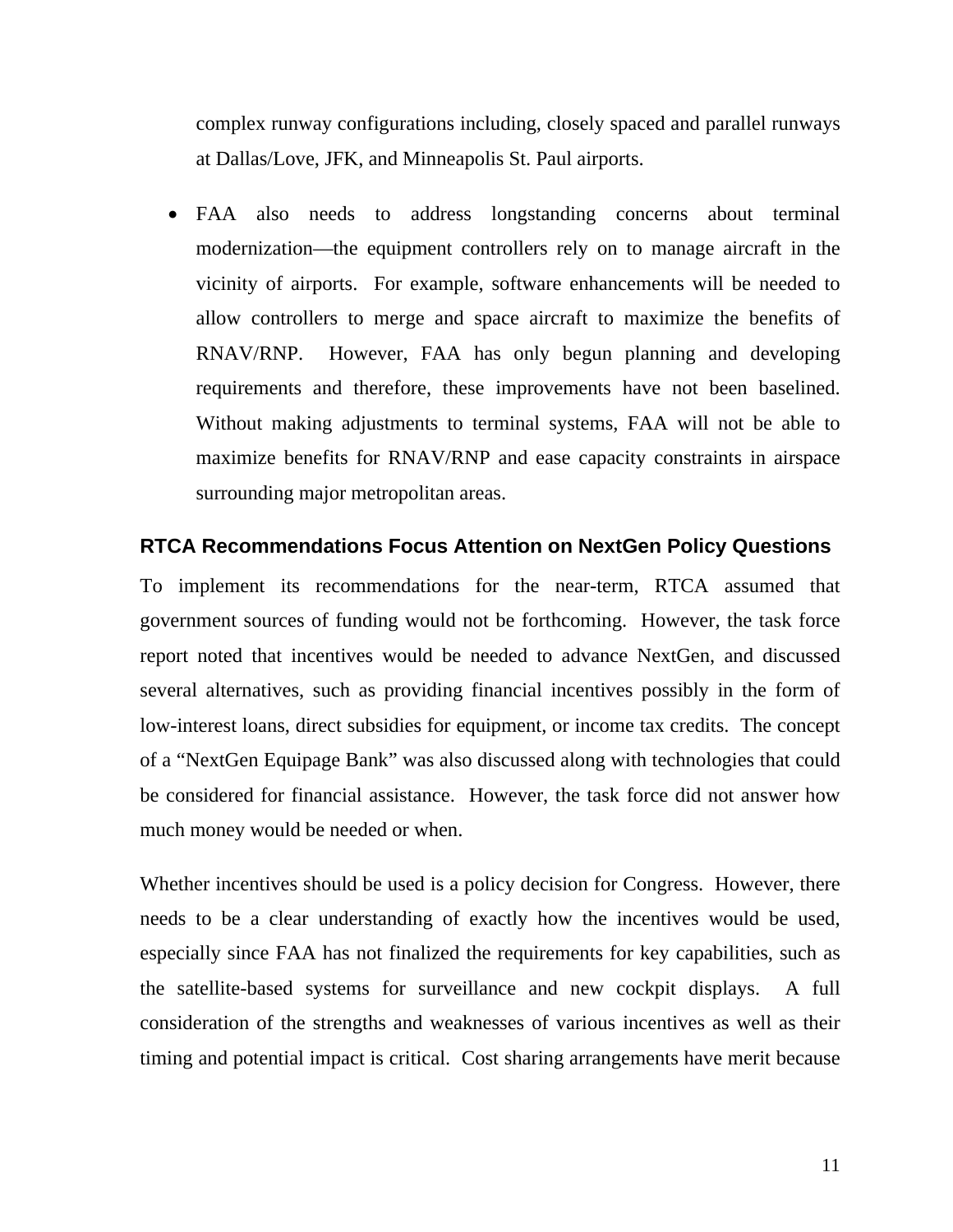complex runway configurations including, closely spaced and parallel runways at Dallas/Love, JFK, and Minneapolis St. Paul airports.

 FAA also needs to address longstanding concerns about terminal modernization—the equipment controllers rely on to manage aircraft in the vicinity of airports. For example, software enhancements will be needed to allow controllers to merge and space aircraft to maximize the benefits of RNAV/RNP. However, FAA has only begun planning and developing requirements and therefore, these improvements have not been baselined. Without making adjustments to terminal systems, FAA will not be able to maximize benefits for RNAV/RNP and ease capacity constraints in airspace surrounding major metropolitan areas.

#### **RTCA Recommendations Focus Attention on NextGen Policy Questions**

To implement its recommendations for the near-term, RTCA assumed that government sources of funding would not be forthcoming. However, the task force report noted that incentives would be needed to advance NextGen, and discussed several alternatives, such as providing financial incentives possibly in the form of low-interest loans, direct subsidies for equipment, or income tax credits. The concept of a "NextGen Equipage Bank" was also discussed along with technologies that could be considered for financial assistance. However, the task force did not answer how much money would be needed or when.

Whether incentives should be used is a policy decision for Congress. However, there needs to be a clear understanding of exactly how the incentives would be used, especially since FAA has not finalized the requirements for key capabilities, such as the satellite-based systems for surveillance and new cockpit displays. A full consideration of the strengths and weaknesses of various incentives as well as their timing and potential impact is critical. Cost sharing arrangements have merit because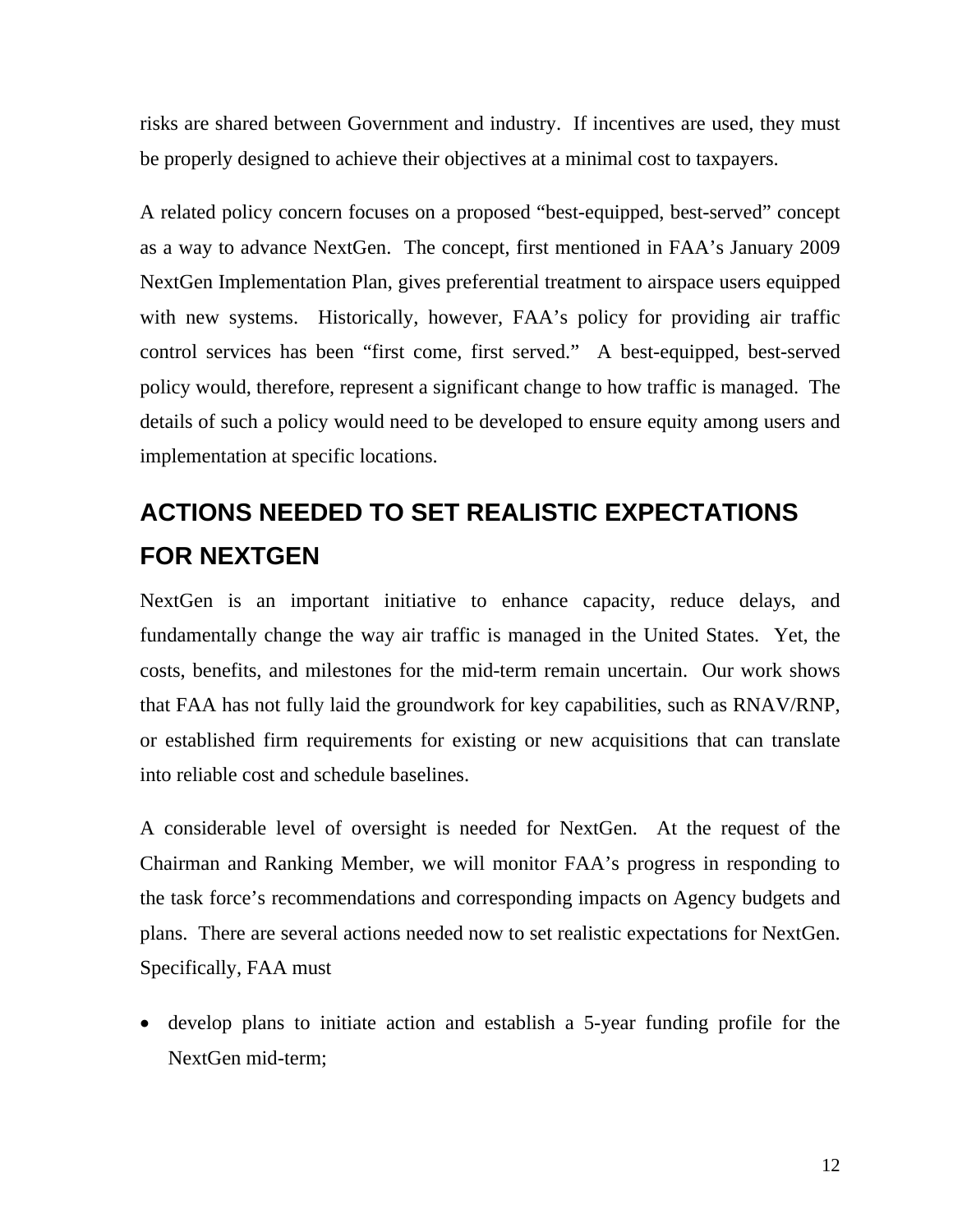risks are shared between Government and industry. If incentives are used, they must be properly designed to achieve their objectives at a minimal cost to taxpayers.

A related policy concern focuses on a proposed "best-equipped, best-served" concept as a way to advance NextGen. The concept, first mentioned in FAA's January 2009 NextGen Implementation Plan, gives preferential treatment to airspace users equipped with new systems. Historically, however, FAA's policy for providing air traffic control services has been "first come, first served." A best-equipped, best-served policy would, therefore, represent a significant change to how traffic is managed. The details of such a policy would need to be developed to ensure equity among users and implementation at specific locations.

# **ACTIONS NEEDED TO SET REALISTIC EXPECTATIONS FOR NEXTGEN**

NextGen is an important initiative to enhance capacity, reduce delays, and fundamentally change the way air traffic is managed in the United States. Yet, the costs, benefits, and milestones for the mid-term remain uncertain. Our work shows that FAA has not fully laid the groundwork for key capabilities, such as RNAV/RNP, or established firm requirements for existing or new acquisitions that can translate into reliable cost and schedule baselines.

A considerable level of oversight is needed for NextGen. At the request of the Chairman and Ranking Member, we will monitor FAA's progress in responding to the task force's recommendations and corresponding impacts on Agency budgets and plans. There are several actions needed now to set realistic expectations for NextGen. Specifically, FAA must

 develop plans to initiate action and establish a 5-year funding profile for the NextGen mid-term;